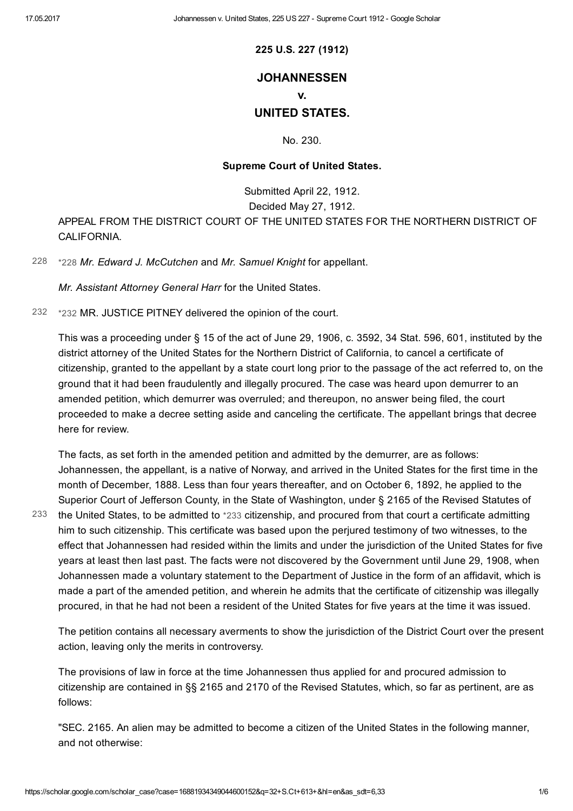225 U.S. 227 (1912)

## **JOHANNESSEN**

v.

# UNITED STATES.

No. 230.

### Supreme Court of United States.

Submitted April 22, 1912. Decided May 27, 1912. APPEAL FROM THE DISTRICT COURT OF THE UNITED STATES FOR THE NORTHERN DISTRICT OF CALIFORNIA.

[228](#page-0-0) [\\*228](#page-0-0) Mr. Edward J. McCutchen and Mr. Samuel Knight for appellant.

<span id="page-0-1"></span><span id="page-0-0"></span>Mr. Assistant Attorney General Harr for the United States.

[232](#page-0-1) [\\*232](#page-0-1) MR. JUSTICE PITNEY delivered the opinion of the court.

This was a proceeding under § 15 of the act of June 29, 1906, c. 3592, 34 Stat. 596, 601, instituted by the district attorney of the United States for the Northern District of California, to cancel a certificate of citizenship, granted to the appellant by a state court long prior to the passage of the act referred to, on the ground that it had been fraudulently and illegally procured. The case was heard upon demurrer to an amended petition, which demurrer was overruled; and thereupon, no answer being filed, the court proceeded to make a decree setting aside and canceling the certificate. The appellant brings that decree here for review.

<span id="page-0-2"></span>The facts, as set forth in the amended petition and admitted by the demurrer, are as follows: Johannessen, the appellant, is a native of Norway, and arrived in the United States for the first time in the month of December, 1888. Less than four years thereafter, and on October 6, 1892, he applied to the Superior Court of Jefferson County, in the State of Washington, under § 2165 of the Revised Statutes of the United States, to be admitted to [\\*233](#page-0-2) citizenship, and procured from that court a certificate admitting him to such citizenship. This certificate was based upon the perjured testimony of two witnesses, to the effect that Johannessen had resided within the limits and under the jurisdiction of the United States for five years at least then last past. The facts were not discovered by the Government until June 29, 1908, when Johannessen made a voluntary statement to the Department of Justice in the form of an affidavit, which is made a part of the amended petition, and wherein he admits that the certificate of citizenship was illegally procured, in that he had not been a resident of the United States for five years at the time it was issued. [233](#page-0-2)

The petition contains all necessary averments to show the jurisdiction of the District Court over the present action, leaving only the merits in controversy.

The provisions of law in force at the time Johannessen thus applied for and procured admission to citizenship are contained in §§ 2165 and 2170 of the Revised Statutes, which, so far as pertinent, are as follows:

"SEC. 2165. An alien may be admitted to become a citizen of the United States in the following manner, and not otherwise: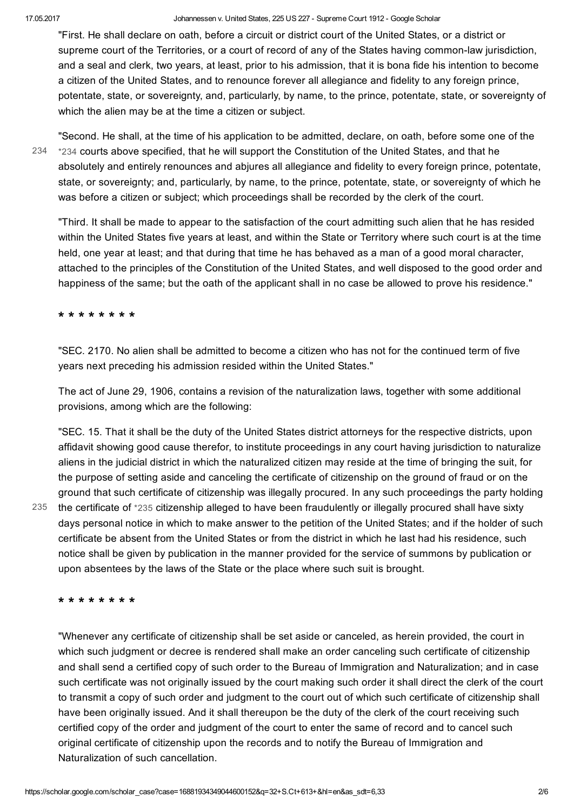"First. He shall declare on oath, before a circuit or district court of the United States, or a district or supreme court of the Territories, or a court of record of any of the States having common-law jurisdiction, and a seal and clerk, two years, at least, prior to his admission, that it is bona fide his intention to become a citizen of the United States, and to renounce forever all allegiance and fidelity to any foreign prince, potentate, state, or sovereignty, and, particularly, by name, to the prince, potentate, state, or sovereignty of which the alien may be at the time a citizen or subject.

[234](#page-1-0)

<span id="page-1-0"></span>"Second. He shall, at the time of his application to be admitted, declare, on oath, before some one of the [\\*234](#page-1-0) courts above specified, that he will support the Constitution of the United States, and that he absolutely and entirely renounces and abjures all allegiance and fidelity to every foreign prince, potentate, state, or sovereignty; and, particularly, by name, to the prince, potentate, state, or sovereignty of which he was before a citizen or subject; which proceedings shall be recorded by the clerk of the court.

"Third. It shall be made to appear to the satisfaction of the court admitting such alien that he has resided within the United States five years at least, and within the State or Territory where such court is at the time held, one year at least; and that during that time he has behaved as a man of a good moral character, attached to the principles of the Constitution of the United States, and well disposed to the good order and happiness of the same; but the oath of the applicant shall in no case be allowed to prove his residence."

\* \* \* \* \* \* \* \*

"SEC. 2170. No alien shall be admitted to become a citizen who has not for the continued term of five years next preceding his admission resided within the United States."

The act of June 29, 1906, contains a revision of the naturalization laws, together with some additional provisions, among which are the following:

"SEC. 15. That it shall be the duty of the United States district attorneys for the respective districts, upon affidavit showing good cause therefor, to institute proceedings in any court having jurisdiction to naturalize aliens in the judicial district in which the naturalized citizen may reside at the time of bringing the suit, for the purpose of setting aside and canceling the certificate of citizenship on the ground of fraud or on the ground that such certificate of citizenship was illegally procured. In any such proceedings the party holding the certificate of [\\*235](#page-1-1) citizenship alleged to have been fraudulently or illegally procured shall have sixty days personal notice in which to make answer to the petition of the United States; and if the holder of such certificate be absent from the United States or from the district in which he last had his residence, such notice shall be given by publication in the manner provided for the service of summons by publication or upon absentees by the laws of the State or the place where such suit is brought.

\* \* \* \* \* \* \* \*

<span id="page-1-1"></span>[235](#page-1-1)

"Whenever any certificate of citizenship shall be set aside or canceled, as herein provided, the court in which such judgment or decree is rendered shall make an order canceling such certificate of citizenship and shall send a certified copy of such order to the Bureau of Immigration and Naturalization; and in case such certificate was not originally issued by the court making such order it shall direct the clerk of the court to transmit a copy of such order and judgment to the court out of which such certificate of citizenship shall have been originally issued. And it shall thereupon be the duty of the clerk of the court receiving such certified copy of the order and judgment of the court to enter the same of record and to cancel such original certificate of citizenship upon the records and to notify the Bureau of Immigration and Naturalization of such cancellation.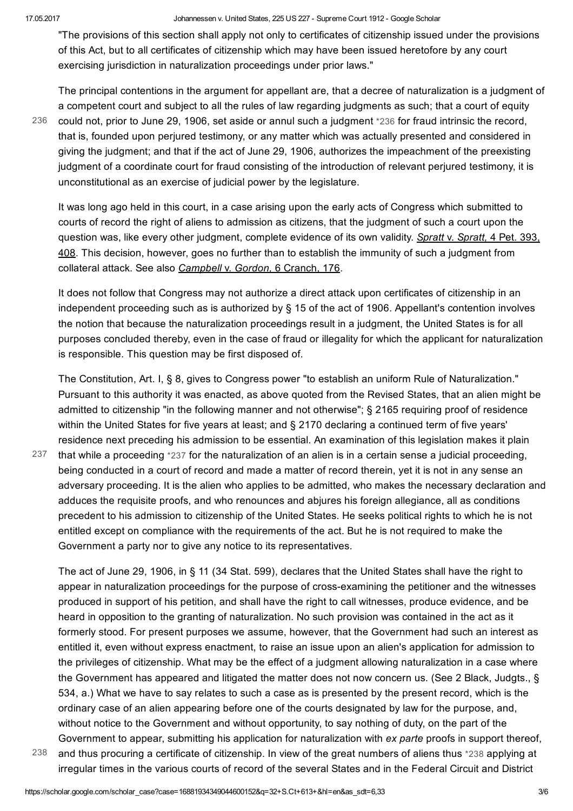"The provisions of this section shall apply not only to certificates of citizenship issued under the provisions of this Act, but to all certificates of citizenship which may have been issued heretofore by any court exercising jurisdiction in naturalization proceedings under prior laws."

[236](#page-2-0)

<span id="page-2-0"></span>The principal contentions in the argument for appellant are, that a decree of naturalization is a judgment of a competent court and subject to all the rules of law regarding judgments as such; that a court of equity could not, prior to June 29, 1906, set aside or annul such a judgment [\\*236](#page-2-0) for fraud intrinsic the record, that is, founded upon perjured testimony, or any matter which was actually presented and considered in giving the judgment; and that if the act of June 29, 1906, authorizes the impeachment of the preexisting judgment of a coordinate court for fraud consisting of the introduction of relevant perjured testimony, it is unconstitutional as an exercise of judicial power by the legislature.

It was long ago held in this court, in a case arising upon the early acts of Congress which submitted to courts of record the right of aliens to admission as citizens, that the judgment of such a court upon the question was, like every other judgment, complete evidence of its own validity. Spratt v. Spratt, 4 Pet. 393, 408. This decision, however, goes no further than to establish the immunity of such a judgment from collateral attack. See also Campbell v. Gordon, 6 Cranch, 176.

It does not follow that Congress may not authorize a direct attack upon certificates of citizenship in an independent proceeding such as is authorized by § 15 of the act of 1906. Appellant's contention involves the notion that because the naturalization proceedings result in a judgment, the United States is for all purposes concluded thereby, even in the case of fraud or illegality for which the applicant for naturalization is responsible. This question may be first disposed of.

<span id="page-2-1"></span>The Constitution, Art. I, § 8, gives to Congress power "to establish an uniform Rule of Naturalization." Pursuant to this authority it was enacted, as above quoted from the Revised States, that an alien might be admitted to citizenship "in the following manner and not otherwise"; § 2165 requiring proof of residence within the United States for five years at least; and § 2170 declaring a continued term of five years' residence next preceding his admission to be essential. An examination of this legislation makes it plain

that while a proceeding [\\*237](#page-2-1) for the naturalization of an alien is in a certain sense a judicial proceeding, being conducted in a court of record and made a matter of record therein, yet it is not in any sense an adversary proceeding. It is the alien who applies to be admitted, who makes the necessary declaration and adduces the requisite proofs, and who renounces and abjures his foreign allegiance, all as conditions precedent to his admission to citizenship of the United States. He seeks political rights to which he is not entitled except on compliance with the requirements of the act. But he is not required to make the Government a party nor to give any notice to its representatives. [237](#page-2-1)

The act of June 29, 1906, in § 11 (34 Stat. 599), declares that the United States shall have the right to appear in naturalization proceedings for the purpose of crossexamining the petitioner and the witnesses produced in support of his petition, and shall have the right to call witnesses, produce evidence, and be heard in opposition to the granting of naturalization. No such provision was contained in the act as it formerly stood. For present purposes we assume, however, that the Government had such an interest as entitled it, even without express enactment, to raise an issue upon an alien's application for admission to the privileges of citizenship. What may be the effect of a judgment allowing naturalization in a case where the Government has appeared and litigated the matter does not now concern us. (See 2 Black, Judgts., § 534, a.) What we have to say relates to such a case as is presented by the present record, which is the ordinary case of an alien appearing before one of the courts designated by law for the purpose, and, without notice to the Government and without opportunity, to say nothing of duty, on the part of the Government to appear, submitting his application for naturalization with ex parte proofs in support thereof, and thus procuring a certificate of citizenship. In view of the great numbers of aliens thus [\\*238](#page-2-2) applying at

<span id="page-2-2"></span>irregular times in the various courts of record of the several States and in the Federal Circuit and District

[238](#page-2-2)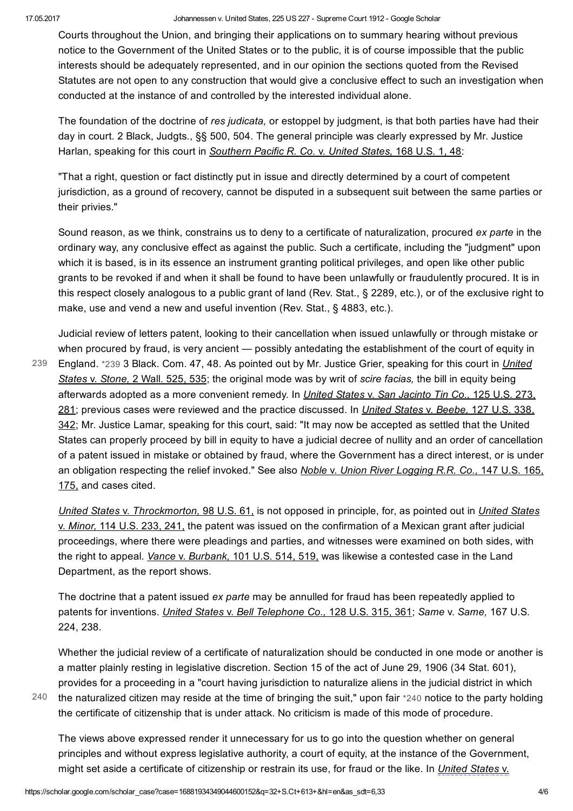Courts throughout the Union, and bringing their applications on to summary hearing without previous notice to the Government of the United States or to the public, it is of course impossible that the public interests should be adequately represented, and in our opinion the sections quoted from the Revised Statutes are not open to any construction that would give a conclusive effect to such an investigation when conducted at the instance of and controlled by the interested individual alone.

The foundation of the doctrine of res judicata, or estoppel by judgment, is that both parties have had their day in court. 2 Black, Judgts., §§ 500, 504. The general principle was clearly expressed by Mr. Justice Harlan, speaking for this court in Southern Pacific R. Co. v. United States, 168 U.S. 1, 48:

"That a right, question or fact distinctly put in issue and directly determined by a court of competent jurisdiction, as a ground of recovery, cannot be disputed in a subsequent suit between the same parties or their privies."

Sound reason, as we think, constrains us to deny to a certificate of naturalization, procured ex parte in the ordinary way, any conclusive effect as against the public. Such a certificate, including the "judgment" upon which it is based, is in its essence an instrument granting political privileges, and open like other public grants to be revoked if and when it shall be found to have been unlawfully or fraudulently procured. It is in this respect closely analogous to a public grant of land (Rev. Stat., § 2289, etc.), or of the exclusive right to make, use and vend a new and useful invention (Rev. Stat., § 4883, etc.).

Judicial review of letters patent, looking to their cancellation when issued unlawfully or through mistake or when procured by fraud, is very ancient — possibly antedating the establishment of the court of equity in England. [\\*239](#page-3-0) 3 Black. Com. 47, 48. As pointed out by Mr. Justice Grier, speaking for this court in United States v. Stone, 2 Wall. 525, 535; the original mode was by writ of scire facias, the bill in equity being afterwards adopted as a more convenient remedy. In United States v. San Jacinto Tin Co., 125 U.S. 273, 281; previous cases were reviewed and the practice discussed. In United States v. Beebe, 127 U.S. 338, [239](#page-3-0)

<span id="page-3-0"></span>342; Mr. Justice Lamar, speaking for this court, said: "It may now be accepted as settled that the United States can properly proceed by bill in equity to have a judicial decree of nullity and an order of cancellation of a patent issued in mistake or obtained by fraud, where the Government has a direct interest, or is under an obligation respecting the relief invoked." See also Noble v. Union River Logging R.R. Co., 147 U.S. 165, 175, and cases cited.

United States v. Throckmorton, 98 U.S. 61, is not opposed in principle, for, as pointed out in United States v. Minor, 114 U.S. 233, 241, the patent was issued on the confirmation of a Mexican grant after judicial proceedings, where there were pleadings and parties, and witnesses were examined on both sides, with the right to appeal. Vance v. Burbank, 101 U.S. 514, 519, was likewise a contested case in the Land Department, as the report shows.

The doctrine that a patent issued ex parte may be annulled for fraud has been repeatedly applied to patents for inventions. *United States v. Bell Telephone Co.*, 128 U.S. 315, 361; Same v. Same, 167 U.S. 224, 238.

Whether the judicial review of a certificate of naturalization should be conducted in one mode or another is a matter plainly resting in legislative discretion. Section 15 of the act of June 29, 1906 (34 Stat. 601), provides for a proceeding in a "court having jurisdiction to naturalize aliens in the judicial district in which the naturalized citizen may reside at the time of bringing the suit," upon fair [\\*240](#page-3-1) notice to the party holding

[240](#page-3-1)

the certificate of citizenship that is under attack. No criticism is made of this mode of procedure.

<span id="page-3-1"></span>The views above expressed render it unnecessary for us to go into the question whether on general principles and without express legislative authority, a court of equity, at the instance of the Government, might set aside a certificate of citizenship or restrain its use, for fraud or the like. In United States v.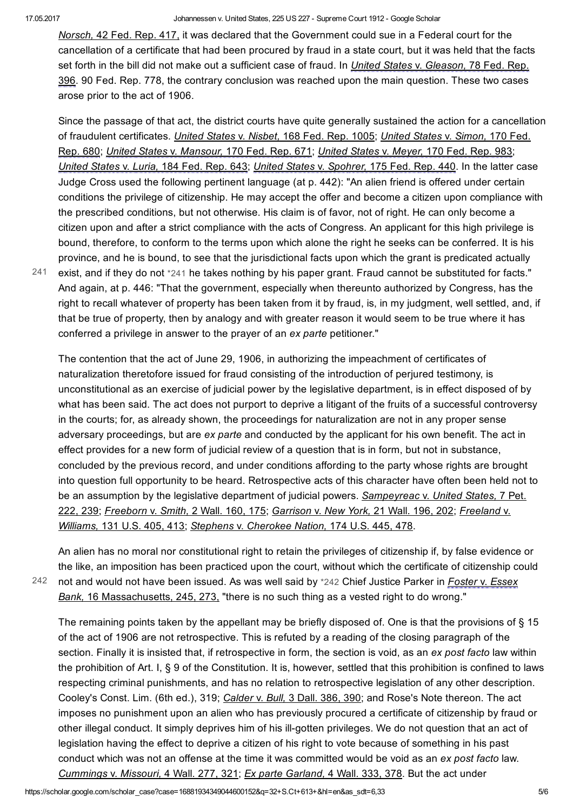Norsch, 42 Fed. Rep. 417, it was declared that the Government could sue in a Federal court for the cancellation of a certificate that had been procured by fraud in a state court, but it was held that the facts set forth in the bill did not make out a sufficient case of fraud. In *United States v. Gleason*, 78 Fed. Rep. 396. 90 Fed. Rep. 778, the contrary conclusion was reached upon the main question. These two cases arose prior to the act of 1906.

Since the passage of that act, the district courts have quite generally sustained the action for a cancellation of fraudulent certificates. *United States v. Nisbet*, 168 Fed. Rep. 1005; United States v. Simon, 170 Fed. Rep. 680; United States v. Mansour, 170 Fed. Rep. 671; United States v. Meyer, 170 Fed. Rep. 983; United States v. Luria, 184 Fed. Rep. 643; United States v. Spohrer, 175 Fed. Rep. 440. In the latter case Judge Cross used the following pertinent language (at p. 442): "An alien friend is offered under certain conditions the privilege of citizenship. He may accept the offer and become a citizen upon compliance with the prescribed conditions, but not otherwise. His claim is of favor, not of right. He can only become a citizen upon and after a strict compliance with the acts of Congress. An applicant for this high privilege is bound, therefore, to conform to the terms upon which alone the right he seeks can be conferred. It is his province, and he is bound, to see that the jurisdictional facts upon which the grant is predicated actually

[241](#page-4-0)

<span id="page-4-0"></span>exist, and if they do not [\\*241](#page-4-0) he takes nothing by his paper grant. Fraud cannot be substituted for facts." And again, at p. 446: "That the government, especially when thereunto authorized by Congress, has the right to recall whatever of property has been taken from it by fraud, is, in my judgment, well settled, and, if that be true of property, then by analogy and with greater reason it would seem to be true where it has conferred a privilege in answer to the prayer of an ex parte petitioner."

The contention that the act of June 29, 1906, in authorizing the impeachment of certificates of naturalization theretofore issued for fraud consisting of the introduction of perjured testimony, is unconstitutional as an exercise of judicial power by the legislative department, is in effect disposed of by what has been said. The act does not purport to deprive a litigant of the fruits of a successful controversy in the courts; for, as already shown, the proceedings for naturalization are not in any proper sense adversary proceedings, but are ex parte and conducted by the applicant for his own benefit. The act in effect provides for a new form of judicial review of a question that is in form, but not in substance, concluded by the previous record, and under conditions affording to the party whose rights are brought into question full opportunity to be heard. Retrospective acts of this character have often been held not to be an assumption by the legislative department of judicial powers. Sampeyreac v. United States, 7 Pet. 222, 239; Freeborn v. Smith, 2 Wall. 160, 175; Garrison v. New York, 21 Wall. 196, 202; Freeland v. Williams, 131 U.S. 405, 413; Stephens v. Cherokee Nation, 174 U.S. 445, 478.

[242](#page-4-1)

An alien has no moral nor constitutional right to retain the privileges of citizenship if, by false evidence or the like, an imposition has been practiced upon the court, without which the certificate of citizenship could not and would not have been issued. As was well said by [\\*242](#page-4-1) Chief Justice Parker in Foster v. Essex Bank, 16 Massachusetts, 245, 273, "there is no such thing as a vested right to do wrong."

<span id="page-4-1"></span>The remaining points taken by the appellant may be briefly disposed of. One is that the provisions of § 15 of the act of 1906 are not retrospective. This is refuted by a reading of the closing paragraph of the section. Finally it is insisted that, if retrospective in form, the section is void, as an ex post facto law within the prohibition of Art. I, § 9 of the Constitution. It is, however, settled that this prohibition is confined to laws respecting criminal punishments, and has no relation to retrospective legislation of any other description. Cooley's Const. Lim. (6th ed.), 319; Calder v. Bull, 3 Dall. 386, 390; and Rose's Note thereon. The act imposes no punishment upon an alien who has previously procured a certificate of citizenship by fraud or other illegal conduct. It simply deprives him of his ill-gotten privileges. We do not question that an act of legislation having the effect to deprive a citizen of his right to vote because of something in his past conduct which was not an offense at the time it was committed would be void as an ex post facto law. Cummings v. Missouri, 4 Wall. 277, 321; Ex parte Garland, 4 Wall. 333, 378. But the act under